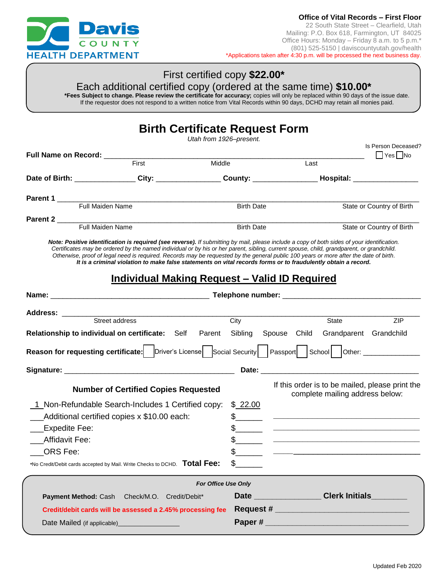

## First certified copy **\$22.00\***

Each additional certified copy (ordered at the same time) **\$10.00\***

**\*Fees Subject to change. Please review the certificate for accuracy;** copies will only be replaced within 90 days of the issue date. If the requestor does not respond to a written notice from Vital Records within 90 days, DCHD may retain all monies paid.

|                                                                                                    |                                                                                                                                                                                                                                                                                                                                                                                                                                                                                                                                                                                                            |                         | <b>Birth Certificate Request Form</b>         |                                                                                                                                                                                                                                               |                           |  |
|----------------------------------------------------------------------------------------------------|------------------------------------------------------------------------------------------------------------------------------------------------------------------------------------------------------------------------------------------------------------------------------------------------------------------------------------------------------------------------------------------------------------------------------------------------------------------------------------------------------------------------------------------------------------------------------------------------------------|-------------------------|-----------------------------------------------|-----------------------------------------------------------------------------------------------------------------------------------------------------------------------------------------------------------------------------------------------|---------------------------|--|
|                                                                                                    |                                                                                                                                                                                                                                                                                                                                                                                                                                                                                                                                                                                                            | Utah from 1926-present. |                                               |                                                                                                                                                                                                                                               | Is Person Deceased?       |  |
|                                                                                                    | First                                                                                                                                                                                                                                                                                                                                                                                                                                                                                                                                                                                                      | Middle                  |                                               | Last                                                                                                                                                                                                                                          | $\Box$ Yes $\Box$ No      |  |
|                                                                                                    | Date of Birth: ________________City: _________________County: __________________Hospital: ___________________                                                                                                                                                                                                                                                                                                                                                                                                                                                                                              |                         |                                               |                                                                                                                                                                                                                                               |                           |  |
|                                                                                                    |                                                                                                                                                                                                                                                                                                                                                                                                                                                                                                                                                                                                            |                         |                                               |                                                                                                                                                                                                                                               |                           |  |
| Parent 1<br>Full Maiden Name<br>Birth D                                                            |                                                                                                                                                                                                                                                                                                                                                                                                                                                                                                                                                                                                            |                         | <b>Birth Date</b>                             |                                                                                                                                                                                                                                               | State or Country of Birth |  |
|                                                                                                    |                                                                                                                                                                                                                                                                                                                                                                                                                                                                                                                                                                                                            |                         |                                               |                                                                                                                                                                                                                                               |                           |  |
|                                                                                                    |                                                                                                                                                                                                                                                                                                                                                                                                                                                                                                                                                                                                            |                         | <b>Birth Date</b>                             |                                                                                                                                                                                                                                               | State or Country of Birth |  |
|                                                                                                    | Note: Positive identification is required (see reverse). If submitting by mail, please include a copy of both sides of your identification.<br>Certificates may be ordered by the named individual or by his or her parent, sibling, current spouse, child, grandparent, or grandchild.<br>Otherwise, proof of legal need is required. Records may be requested by the general public 100 years or more after the date of birth.<br>It is a criminal violation to make false statements on vital records forms or to fraudulently obtain a record.<br><b>Individual Making Request - Valid ID Required</b> |                         |                                               |                                                                                                                                                                                                                                               |                           |  |
|                                                                                                    |                                                                                                                                                                                                                                                                                                                                                                                                                                                                                                                                                                                                            |                         |                                               |                                                                                                                                                                                                                                               |                           |  |
| Address: ________                                                                                  | Street address                                                                                                                                                                                                                                                                                                                                                                                                                                                                                                                                                                                             |                         | City                                          | State                                                                                                                                                                                                                                         | ZIP                       |  |
| Relationship to individual on certificate: Self Parent Sibling Spouse Child Grandparent Grandchild |                                                                                                                                                                                                                                                                                                                                                                                                                                                                                                                                                                                                            |                         |                                               |                                                                                                                                                                                                                                               |                           |  |
|                                                                                                    | Reason for requesting certificate:   Driver's License   Social Security   Passport   School   Other: ___________                                                                                                                                                                                                                                                                                                                                                                                                                                                                                           |                         |                                               |                                                                                                                                                                                                                                               |                           |  |
|                                                                                                    |                                                                                                                                                                                                                                                                                                                                                                                                                                                                                                                                                                                                            |                         |                                               |                                                                                                                                                                                                                                               |                           |  |
|                                                                                                    | <b>Number of Certified Copies Requested</b>                                                                                                                                                                                                                                                                                                                                                                                                                                                                                                                                                                |                         |                                               | If this order is to be mailed, please print the<br>complete mailing address below:                                                                                                                                                            |                           |  |
| Expedite Fee:<br>Affidavit Fee:<br>ORS Fee:                                                        | 1 Non-Refundable Search-Includes 1 Certified copy:<br>___Additional certified copies x \$10.00 each:<br>*No Credit/Debit cards accepted by Mail. Write Checks to DCHD. Total Fee:                                                                                                                                                                                                                                                                                                                                                                                                                          |                         | \$22.00<br>$\mathbb{S}$<br>\$<br>$\mathbb{S}$ | <u> 2000 - Jan James James Jan James James James James James James James James James James James James James Jam</u><br><u> 1980 - Johann John Stein, market fan de Amerikaansk kommunister oant it ferskearre oant it ferskearre oant it</u> |                           |  |
|                                                                                                    |                                                                                                                                                                                                                                                                                                                                                                                                                                                                                                                                                                                                            | For Office Use Only     |                                               |                                                                                                                                                                                                                                               |                           |  |
| <b>Payment Method: Cash</b>                                                                        | Check/M.O. Credit/Debit*                                                                                                                                                                                                                                                                                                                                                                                                                                                                                                                                                                                   |                         |                                               | Date _________________Clerk Initials________                                                                                                                                                                                                  |                           |  |
|                                                                                                    | Credit/debit cards will be assessed a 2.45% processing fee                                                                                                                                                                                                                                                                                                                                                                                                                                                                                                                                                 |                         |                                               |                                                                                                                                                                                                                                               |                           |  |
|                                                                                                    | Date Mailed (if applicable)___________________                                                                                                                                                                                                                                                                                                                                                                                                                                                                                                                                                             |                         |                                               |                                                                                                                                                                                                                                               |                           |  |